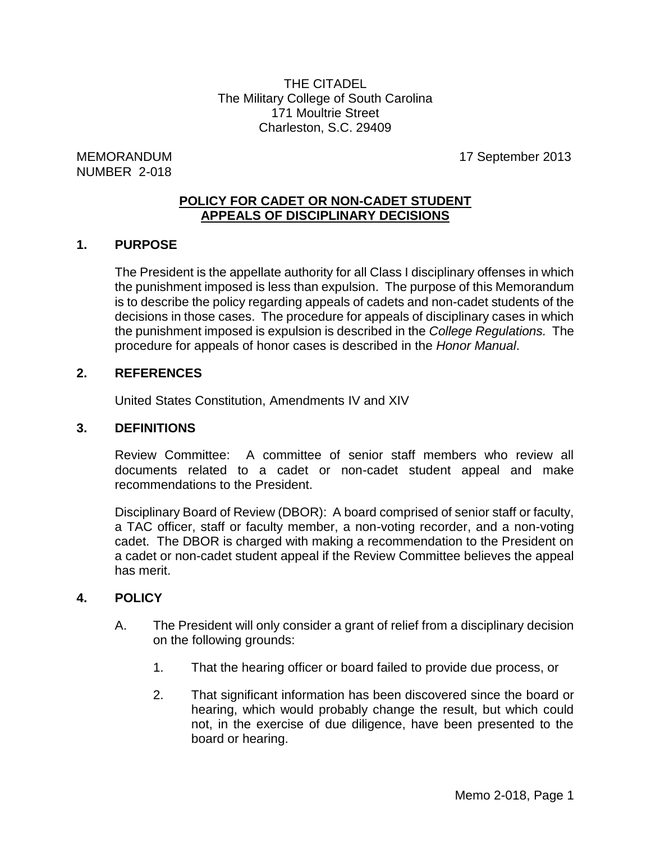THE CITADEL The Military College of South Carolina 171 Moultrie Street Charleston, S.C. 29409

# NUMBER 2-018

MEMORANDUM 17 September 2013

#### **POLICY FOR CADET OR NON-CADET STUDENT APPEALS OF DISCIPLINARY DECISIONS**

# **1. PURPOSE**

The President is the appellate authority for all Class I disciplinary offenses in which the punishment imposed is less than expulsion. The purpose of this Memorandum is to describe the policy regarding appeals of cadets and non-cadet students of the decisions in those cases. The procedure for appeals of disciplinary cases in which the punishment imposed is expulsion is described in the *College Regulations.* The procedure for appeals of honor cases is described in the *Honor Manual*.

#### **2. REFERENCES**

United States Constitution, Amendments IV and XIV

#### **3. DEFINITIONS**

Review Committee: A committee of senior staff members who review all documents related to a cadet or non-cadet student appeal and make recommendations to the President.

Disciplinary Board of Review (DBOR): A board comprised of senior staff or faculty, a TAC officer, staff or faculty member, a non-voting recorder, and a non-voting cadet. The DBOR is charged with making a recommendation to the President on a cadet or non-cadet student appeal if the Review Committee believes the appeal has merit.

#### **4. POLICY**

- A. The President will only consider a grant of relief from a disciplinary decision on the following grounds:
	- 1. That the hearing officer or board failed to provide due process, or
	- 2. That significant information has been discovered since the board or hearing, which would probably change the result, but which could not, in the exercise of due diligence, have been presented to the board or hearing.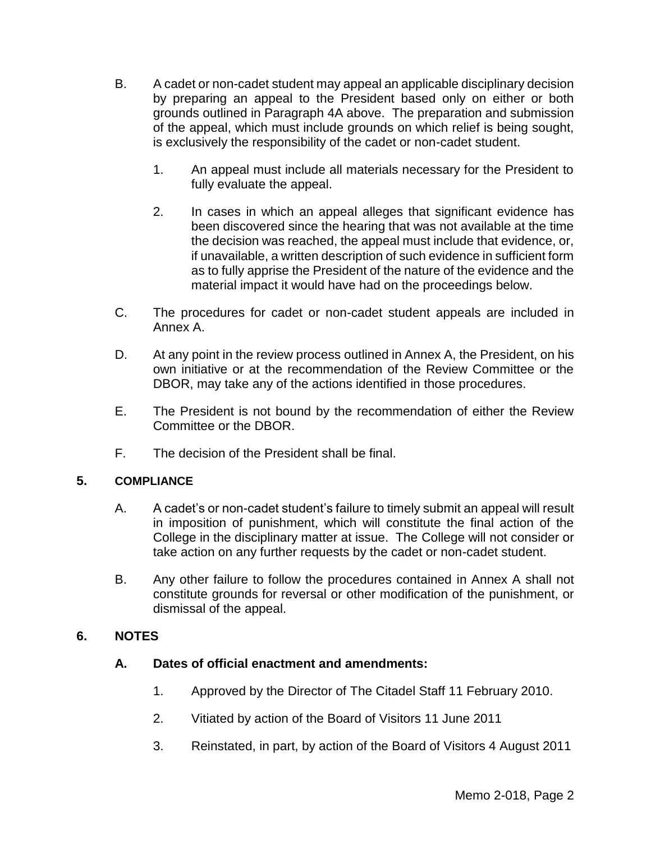- B. A cadet or non-cadet student may appeal an applicable disciplinary decision by preparing an appeal to the President based only on either or both grounds outlined in Paragraph 4A above. The preparation and submission of the appeal, which must include grounds on which relief is being sought, is exclusively the responsibility of the cadet or non-cadet student.
	- 1. An appeal must include all materials necessary for the President to fully evaluate the appeal.
	- 2. In cases in which an appeal alleges that significant evidence has been discovered since the hearing that was not available at the time the decision was reached, the appeal must include that evidence, or, if unavailable, a written description of such evidence in sufficient form as to fully apprise the President of the nature of the evidence and the material impact it would have had on the proceedings below.
- C. The procedures for cadet or non-cadet student appeals are included in Annex A.
- D. At any point in the review process outlined in Annex A, the President, on his own initiative or at the recommendation of the Review Committee or the DBOR, may take any of the actions identified in those procedures.
- E. The President is not bound by the recommendation of either the Review Committee or the DBOR.
- F. The decision of the President shall be final.

#### **5. COMPLIANCE**

- A. A cadet's or non-cadet student's failure to timely submit an appeal will result in imposition of punishment, which will constitute the final action of the College in the disciplinary matter at issue. The College will not consider or take action on any further requests by the cadet or non-cadet student.
- B. Any other failure to follow the procedures contained in Annex A shall not constitute grounds for reversal or other modification of the punishment, or dismissal of the appeal.

# **6. NOTES**

#### **A. Dates of official enactment and amendments:**

- 1. Approved by the Director of The Citadel Staff 11 February 2010.
- 2. Vitiated by action of the Board of Visitors 11 June 2011
- 3. Reinstated, in part, by action of the Board of Visitors 4 August 2011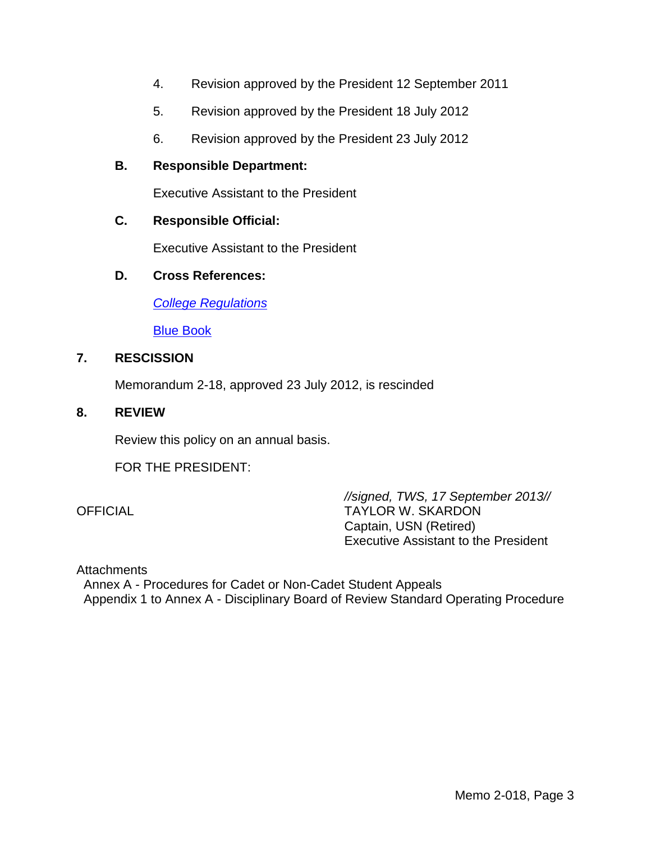- 4. Revision approved by the President 12 September 2011
- 5. Revision approved by the President 18 July 2012
- 6. Revision approved by the President 23 July 2012

#### **B. Responsible Department:**

Executive Assistant to the President

#### **C. Responsible Official:**

Executive Assistant to the President

#### **D. Cross References:**

*[College Regulations](http://www.citadel.edu/root/images/Policies/college-regulations.pdf)*

[Blue Book](http://www.citadel.edu/root/images/Commandant/blue-book.pdf)

## **7. RESCISSION**

Memorandum 2-18, approved 23 July 2012, is rescinded

#### **8. REVIEW**

Review this policy on an annual basis.

FOR THE PRESIDENT:

*//signed, TWS, 17 September 2013//* OFFICIAL TAYLOR W. SKARDON Captain, USN (Retired) Executive Assistant to the President

**Attachments** 

 Annex A - Procedures for Cadet or Non-Cadet Student Appeals Appendix 1 to Annex A - Disciplinary Board of Review Standard Operating Procedure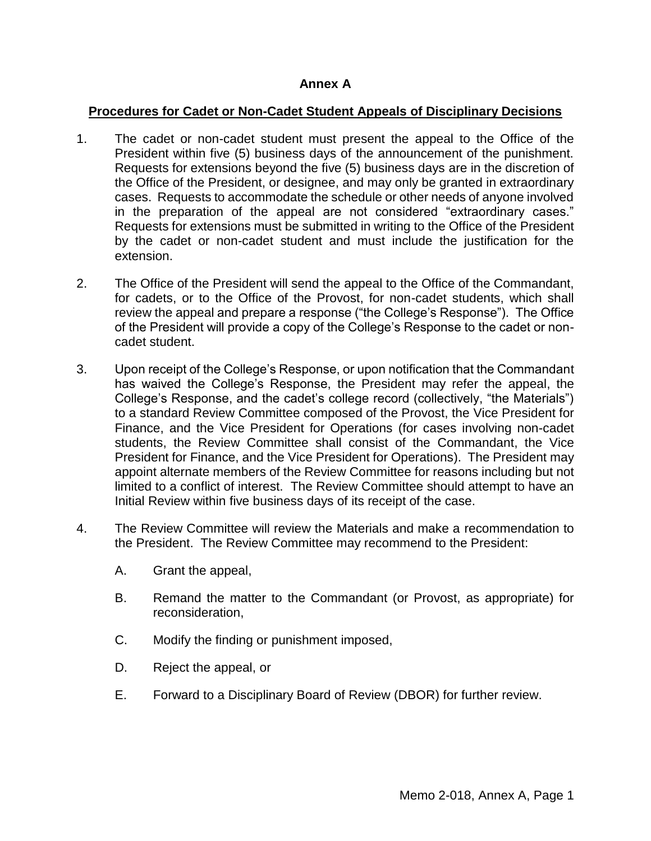#### **Annex A**

#### **Procedures for Cadet or Non-Cadet Student Appeals of Disciplinary Decisions**

- 1. The cadet or non-cadet student must present the appeal to the Office of the President within five (5) business days of the announcement of the punishment. Requests for extensions beyond the five (5) business days are in the discretion of the Office of the President, or designee, and may only be granted in extraordinary cases. Requests to accommodate the schedule or other needs of anyone involved in the preparation of the appeal are not considered "extraordinary cases." Requests for extensions must be submitted in writing to the Office of the President by the cadet or non-cadet student and must include the justification for the extension.
- 2. The Office of the President will send the appeal to the Office of the Commandant, for cadets, or to the Office of the Provost, for non-cadet students, which shall review the appeal and prepare a response ("the College's Response"). The Office of the President will provide a copy of the College's Response to the cadet or noncadet student.
- 3. Upon receipt of the College's Response, or upon notification that the Commandant has waived the College's Response, the President may refer the appeal, the College's Response, and the cadet's college record (collectively, "the Materials") to a standard Review Committee composed of the Provost, the Vice President for Finance, and the Vice President for Operations (for cases involving non-cadet students, the Review Committee shall consist of the Commandant, the Vice President for Finance, and the Vice President for Operations). The President may appoint alternate members of the Review Committee for reasons including but not limited to a conflict of interest. The Review Committee should attempt to have an Initial Review within five business days of its receipt of the case.
- 4. The Review Committee will review the Materials and make a recommendation to the President. The Review Committee may recommend to the President:
	- A. Grant the appeal,
	- B. Remand the matter to the Commandant (or Provost, as appropriate) for reconsideration,
	- C. Modify the finding or punishment imposed,
	- D. Reject the appeal, or
	- E. Forward to a Disciplinary Board of Review (DBOR) for further review.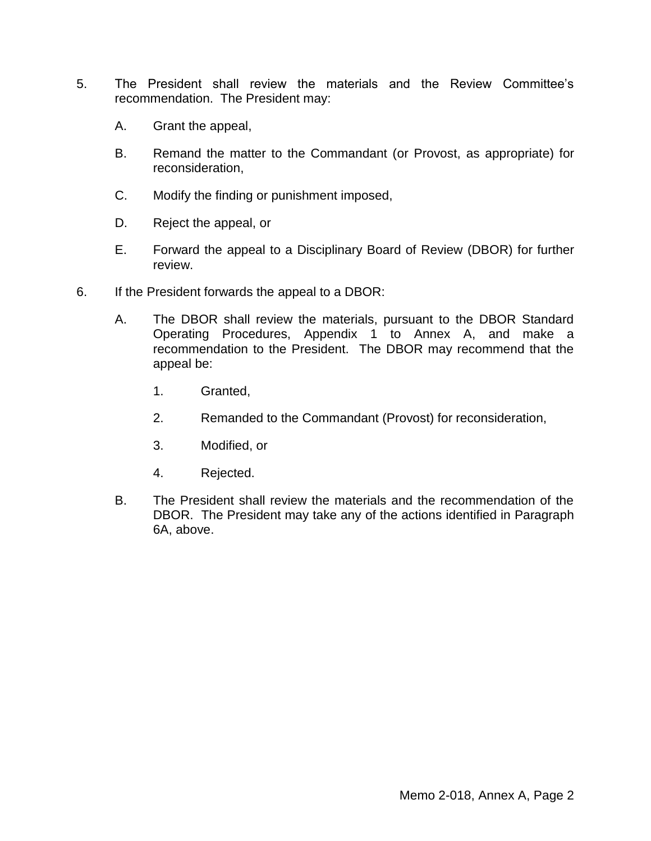- 5. The President shall review the materials and the Review Committee's recommendation. The President may:
	- A. Grant the appeal,
	- B. Remand the matter to the Commandant (or Provost, as appropriate) for reconsideration,
	- C. Modify the finding or punishment imposed,
	- D. Reject the appeal, or
	- E. Forward the appeal to a Disciplinary Board of Review (DBOR) for further review.
- 6. If the President forwards the appeal to a DBOR:
	- A. The DBOR shall review the materials, pursuant to the DBOR Standard Operating Procedures, Appendix 1 to Annex A, and make a recommendation to the President. The DBOR may recommend that the appeal be:
		- 1. Granted,
		- 2. Remanded to the Commandant (Provost) for reconsideration,
		- 3. Modified, or
		- 4. Rejected.
	- B. The President shall review the materials and the recommendation of the DBOR. The President may take any of the actions identified in Paragraph 6A, above.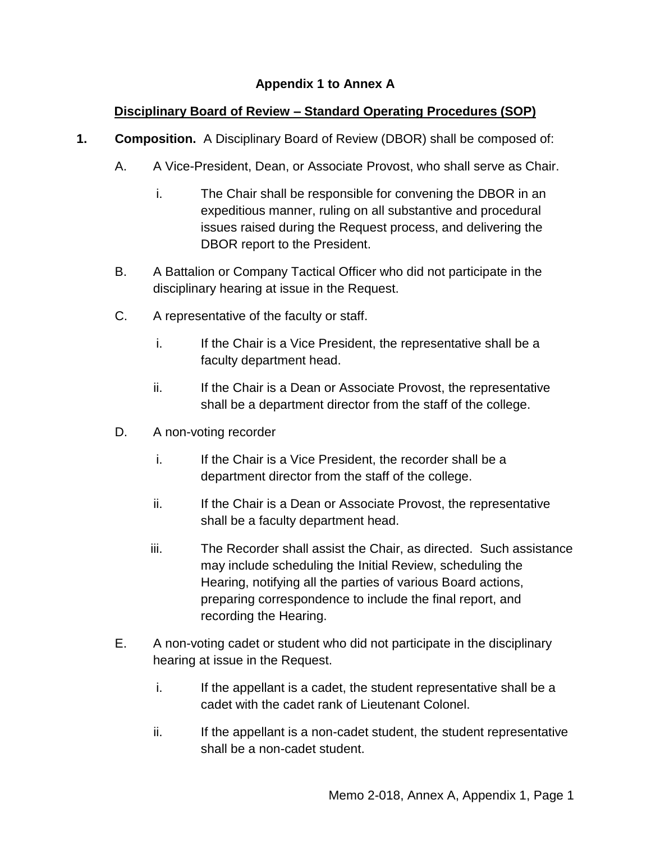# **Appendix 1 to Annex A**

# **Disciplinary Board of Review – Standard Operating Procedures (SOP)**

- **1. Composition.** A Disciplinary Board of Review (DBOR) shall be composed of:
	- A. A Vice-President, Dean, or Associate Provost, who shall serve as Chair.
		- i. The Chair shall be responsible for convening the DBOR in an expeditious manner, ruling on all substantive and procedural issues raised during the Request process, and delivering the DBOR report to the President.
	- B. A Battalion or Company Tactical Officer who did not participate in the disciplinary hearing at issue in the Request.
	- C. A representative of the faculty or staff.
		- i. If the Chair is a Vice President, the representative shall be a faculty department head.
		- ii. If the Chair is a Dean or Associate Provost, the representative shall be a department director from the staff of the college.
	- D. A non-voting recorder
		- i. If the Chair is a Vice President, the recorder shall be a department director from the staff of the college.
		- ii. If the Chair is a Dean or Associate Provost, the representative shall be a faculty department head.
		- iii. The Recorder shall assist the Chair, as directed. Such assistance may include scheduling the Initial Review, scheduling the Hearing, notifying all the parties of various Board actions, preparing correspondence to include the final report, and recording the Hearing.
	- E. A non-voting cadet or student who did not participate in the disciplinary hearing at issue in the Request.
		- i. If the appellant is a cadet, the student representative shall be a cadet with the cadet rank of Lieutenant Colonel.
		- ii. If the appellant is a non-cadet student, the student representative shall be a non-cadet student.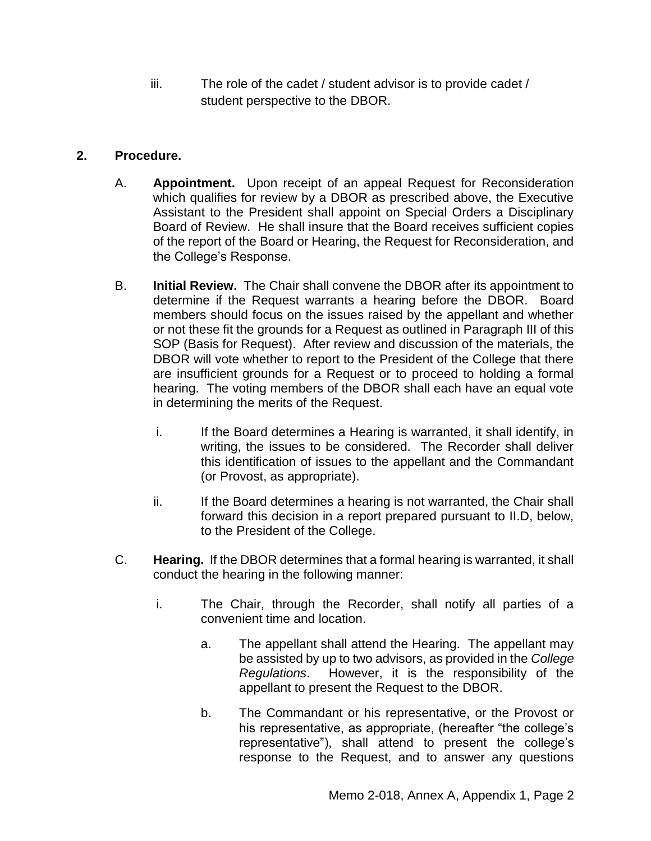iii. The role of the cadet / student advisor is to provide cadet / student perspective to the DBOR.

# **2. Procedure.**

- A. **Appointment.** Upon receipt of an appeal Request for Reconsideration which qualifies for review by a DBOR as prescribed above, the Executive Assistant to the President shall appoint on Special Orders a Disciplinary Board of Review. He shall insure that the Board receives sufficient copies of the report of the Board or Hearing, the Request for Reconsideration, and the College's Response.
- B. **Initial Review.** The Chair shall convene the DBOR after its appointment to determine if the Request warrants a hearing before the DBOR. Board members should focus on the issues raised by the appellant and whether or not these fit the grounds for a Request as outlined in Paragraph III of this SOP (Basis for Request). After review and discussion of the materials, the DBOR will vote whether to report to the President of the College that there are insufficient grounds for a Request or to proceed to holding a formal hearing. The voting members of the DBOR shall each have an equal vote in determining the merits of the Request.
	- i. If the Board determines a Hearing is warranted, it shall identify, in writing, the issues to be considered. The Recorder shall deliver this identification of issues to the appellant and the Commandant (or Provost, as appropriate).
	- ii. If the Board determines a hearing is not warranted, the Chair shall forward this decision in a report prepared pursuant to II.D, below, to the President of the College.
- C. **Hearing.** If the DBOR determines that a formal hearing is warranted, it shall conduct the hearing in the following manner:
	- i. The Chair, through the Recorder, shall notify all parties of a convenient time and location.
		- a. The appellant shall attend the Hearing. The appellant may be assisted by up to two advisors, as provided in the *College Regulations*. However, it is the responsibility of the appellant to present the Request to the DBOR.
		- b. The Commandant or his representative, or the Provost or his representative, as appropriate, (hereafter "the college's representative"), shall attend to present the college's response to the Request, and to answer any questions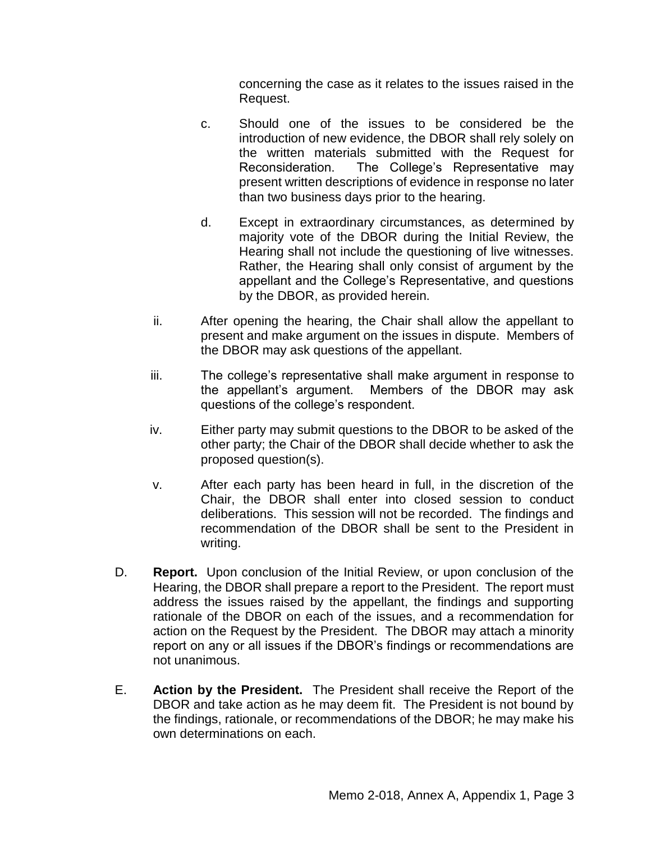concerning the case as it relates to the issues raised in the Request.

- c. Should one of the issues to be considered be the introduction of new evidence, the DBOR shall rely solely on the written materials submitted with the Request for Reconsideration. The College's Representative may present written descriptions of evidence in response no later than two business days prior to the hearing.
- d. Except in extraordinary circumstances, as determined by majority vote of the DBOR during the Initial Review, the Hearing shall not include the questioning of live witnesses. Rather, the Hearing shall only consist of argument by the appellant and the College's Representative, and questions by the DBOR, as provided herein.
- ii. After opening the hearing, the Chair shall allow the appellant to present and make argument on the issues in dispute. Members of the DBOR may ask questions of the appellant.
- iii. The college's representative shall make argument in response to the appellant's argument. Members of the DBOR may ask questions of the college's respondent.
- iv. Either party may submit questions to the DBOR to be asked of the other party; the Chair of the DBOR shall decide whether to ask the proposed question(s).
- v. After each party has been heard in full, in the discretion of the Chair, the DBOR shall enter into closed session to conduct deliberations. This session will not be recorded. The findings and recommendation of the DBOR shall be sent to the President in writing.
- D. **Report.** Upon conclusion of the Initial Review, or upon conclusion of the Hearing, the DBOR shall prepare a report to the President. The report must address the issues raised by the appellant, the findings and supporting rationale of the DBOR on each of the issues, and a recommendation for action on the Request by the President. The DBOR may attach a minority report on any or all issues if the DBOR's findings or recommendations are not unanimous.
- E. **Action by the President.** The President shall receive the Report of the DBOR and take action as he may deem fit. The President is not bound by the findings, rationale, or recommendations of the DBOR; he may make his own determinations on each.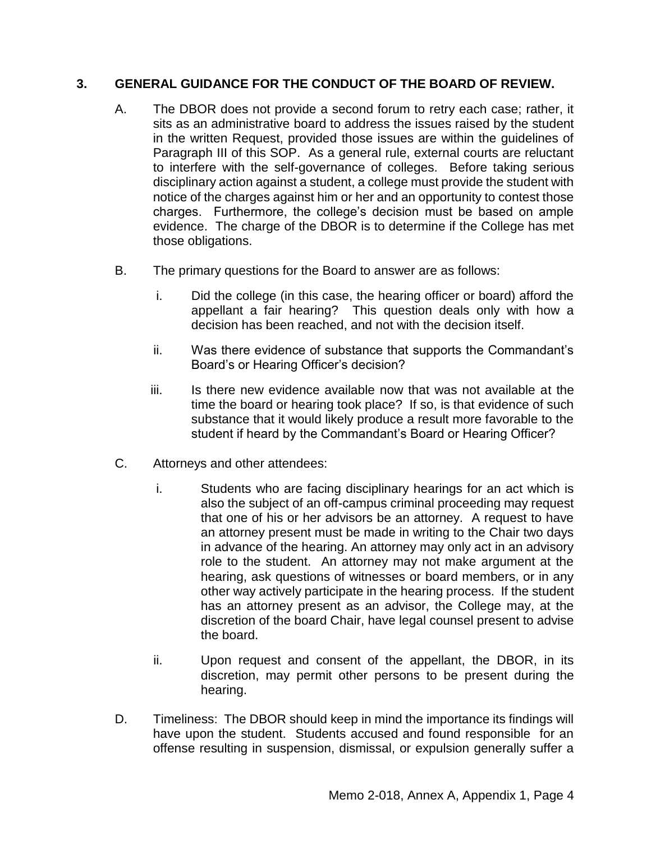# **3. GENERAL GUIDANCE FOR THE CONDUCT OF THE BOARD OF REVIEW.**

- A. The DBOR does not provide a second forum to retry each case; rather, it sits as an administrative board to address the issues raised by the student in the written Request, provided those issues are within the guidelines of Paragraph III of this SOP. As a general rule, external courts are reluctant to interfere with the self-governance of colleges. Before taking serious disciplinary action against a student, a college must provide the student with notice of the charges against him or her and an opportunity to contest those charges. Furthermore, the college's decision must be based on ample evidence. The charge of the DBOR is to determine if the College has met those obligations.
- B. The primary questions for the Board to answer are as follows:
	- i. Did the college (in this case, the hearing officer or board) afford the appellant a fair hearing? This question deals only with how a decision has been reached, and not with the decision itself.
	- ii. Was there evidence of substance that supports the Commandant's Board's or Hearing Officer's decision?
	- iii. Is there new evidence available now that was not available at the time the board or hearing took place? If so, is that evidence of such substance that it would likely produce a result more favorable to the student if heard by the Commandant's Board or Hearing Officer?
- C. Attorneys and other attendees:
	- i. Students who are facing disciplinary hearings for an act which is also the subject of an off-campus criminal proceeding may request that one of his or her advisors be an attorney. A request to have an attorney present must be made in writing to the Chair two days in advance of the hearing. An attorney may only act in an advisory role to the student. An attorney may not make argument at the hearing, ask questions of witnesses or board members, or in any other way actively participate in the hearing process. If the student has an attorney present as an advisor, the College may, at the discretion of the board Chair, have legal counsel present to advise the board.
	- ii. Upon request and consent of the appellant, the DBOR, in its discretion, may permit other persons to be present during the hearing.
- D. Timeliness:The DBOR should keep in mind the importance its findings will have upon the student. Students accused and found responsible for an offense resulting in suspension, dismissal, or expulsion generally suffer a